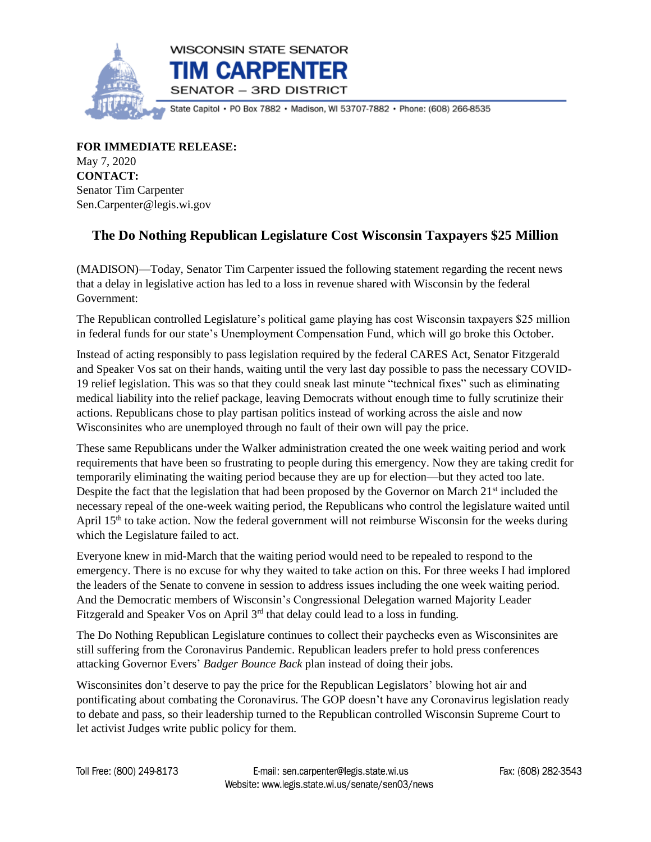

**FOR IMMEDIATE RELEASE:** May 7, 2020 **CONTACT:** Senator Tim Carpenter Sen.Carpenter@legis.wi.gov

## **The Do Nothing Republican Legislature Cost Wisconsin Taxpayers \$25 Million**

(MADISON)—Today, Senator Tim Carpenter issued the following statement regarding the recent news that a delay in legislative action has led to a loss in revenue shared with Wisconsin by the federal Government:

The Republican controlled Legislature's political game playing has cost Wisconsin taxpayers \$25 million in federal funds for our state's Unemployment Compensation Fund, which will go broke this October.

Instead of acting responsibly to pass legislation required by the federal CARES Act, Senator Fitzgerald and Speaker Vos sat on their hands, waiting until the very last day possible to pass the necessary COVID-19 relief legislation. This was so that they could sneak last minute "technical fixes" such as eliminating medical liability into the relief package, leaving Democrats without enough time to fully scrutinize their actions. Republicans chose to play partisan politics instead of working across the aisle and now Wisconsinites who are unemployed through no fault of their own will pay the price.

These same Republicans under the Walker administration created the one week waiting period and work requirements that have been so frustrating to people during this emergency. Now they are taking credit for temporarily eliminating the waiting period because they are up for election—but they acted too late. Despite the fact that the legislation that had been proposed by the Governor on March  $21<sup>st</sup>$  included the necessary repeal of the one-week waiting period, the Republicans who control the legislature waited until April 15<sup>th</sup> to take action. Now the federal government will not reimburse Wisconsin for the weeks during which the Legislature failed to act.

Everyone knew in mid-March that the waiting period would need to be repealed to respond to the emergency. There is no excuse for why they waited to take action on this. For three weeks I had implored the leaders of the Senate to convene in session to address issues including the one week waiting period. And the Democratic members of Wisconsin's Congressional Delegation warned Majority Leader Fitzgerald and Speaker Vos on April 3<sup>rd</sup> that delay could lead to a loss in funding.

The Do Nothing Republican Legislature continues to collect their paychecks even as Wisconsinites are still suffering from the Coronavirus Pandemic. Republican leaders prefer to hold press conferences attacking Governor Evers' *Badger Bounce Back* plan instead of doing their jobs.

Wisconsinites don't deserve to pay the price for the Republican Legislators' blowing hot air and pontificating about combating the Coronavirus. The GOP doesn't have any Coronavirus legislation ready to debate and pass, so their leadership turned to the Republican controlled Wisconsin Supreme Court to let activist Judges write public policy for them.